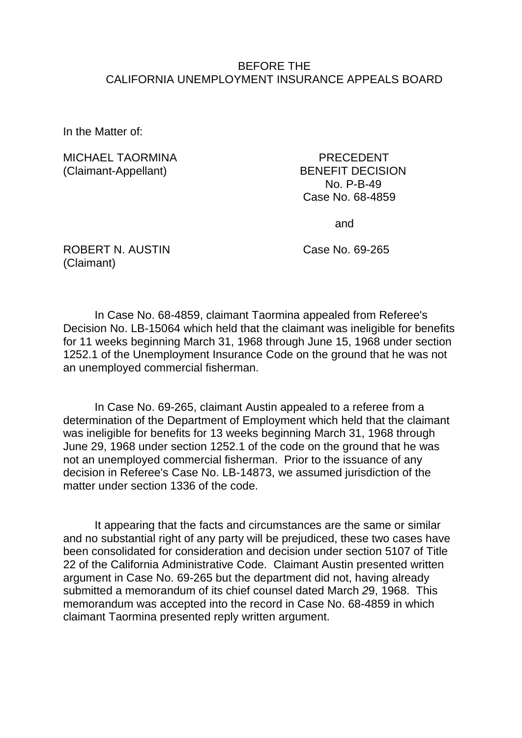#### BEFORE THE CALIFORNIA UNEMPLOYMENT INSURANCE APPEALS BOARD

In the Matter of:

MICHAEL TAORMINA PRECEDENT (Claimant-Appellant) BENEFIT DECISION

 No. P-B-49 Case No. 68-4859

and

ROBERT N. AUSTIN Case No. 69-265 (Claimant)

In Case No. 68-4859, claimant Taormina appealed from Referee's Decision No. LB-15064 which held that the claimant was ineligible for benefits for 11 weeks beginning March 31, 1968 through June 15, 1968 under section 1252.1 of the Unemployment Insurance Code on the ground that he was not an unemployed commercial fisherman.

In Case No. 69-265, claimant Austin appealed to a referee from a determination of the Department of Employment which held that the claimant was ineligible for benefits for 13 weeks beginning March 31, 1968 through June 29, 1968 under section 1252.1 of the code on the ground that he was not an unemployed commercial fisherman. Prior to the issuance of any decision in Referee's Case No. LB-14873, we assumed jurisdiction of the matter under section 1336 of the code.

It appearing that the facts and circumstances are the same or similar and no substantial right of any party will be prejudiced, these two cases have been consolidated for consideration and decision under section 5107 of Title 22 of the California Administrative Code. Claimant Austin presented written argument in Case No. 69-265 but the department did not, having already submitted a memorandum of its chief counsel dated March *2*9, 1968. This memorandum was accepted into the record in Case No. 68-4859 in which claimant Taormina presented reply written argument.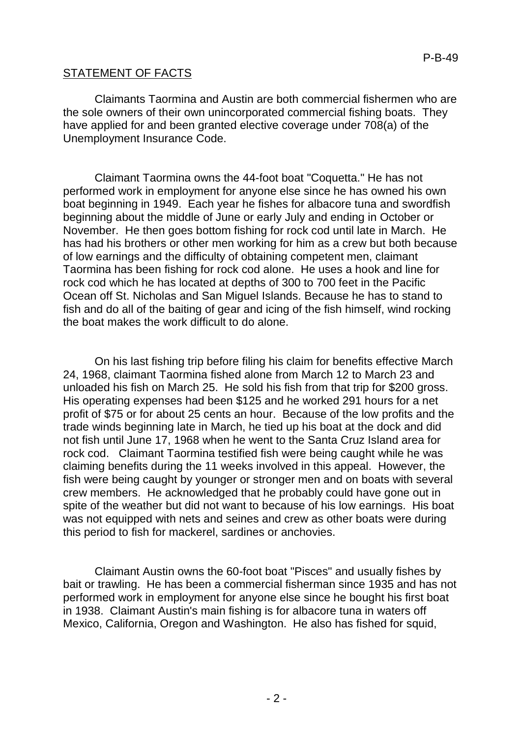## STATEMENT OF FACTS

Claimants Taormina and Austin are both commercial fishermen who are the sole owners of their own unincorporated commercial fishing boats. They have applied for and been granted elective coverage under 708(a) of the Unemployment Insurance Code.

Claimant Taormina owns the 44-foot boat "Coquetta." He has not performed work in employment for anyone else since he has owned his own boat beginning in 1949. Each year he fishes for albacore tuna and swordfish beginning about the middle of June or early July and ending in October or November. He then goes bottom fishing for rock cod until late in March. He has had his brothers or other men working for him as a crew but both because of low earnings and the difficulty of obtaining competent men, claimant Taormina has been fishing for rock cod alone. He uses a hook and line for rock cod which he has located at depths of 300 to 700 feet in the Pacific Ocean off St. Nicholas and San Miguel Islands. Because he has to stand to fish and do all of the baiting of gear and icing of the fish himself, wind rocking the boat makes the work difficult to do alone.

On his last fishing trip before filing his claim for benefits effective March 24, 1968, claimant Taormina fished alone from March 12 to March 23 and unloaded his fish on March 25. He sold his fish from that trip for \$200 gross. His operating expenses had been \$125 and he worked 291 hours for a net profit of \$75 or for about 25 cents an hour. Because of the low profits and the trade winds beginning late in March, he tied up his boat at the dock and did not fish until June 17, 1968 when he went to the Santa Cruz Island area for rock cod. Claimant Taormina testified fish were being caught while he was claiming benefits during the 11 weeks involved in this appeal. However, the fish were being caught by younger or stronger men and on boats with several crew members. He acknowledged that he probably could have gone out in spite of the weather but did not want to because of his low earnings. His boat was not equipped with nets and seines and crew as other boats were during this period to fish for mackerel, sardines or anchovies.

Claimant Austin owns the 60-foot boat "Pisces" and usually fishes by bait or trawling. He has been a commercial fisherman since 1935 and has not performed work in employment for anyone else since he bought his first boat in 1938. Claimant Austin's main fishing is for albacore tuna in waters off Mexico, California, Oregon and Washington. He also has fished for squid,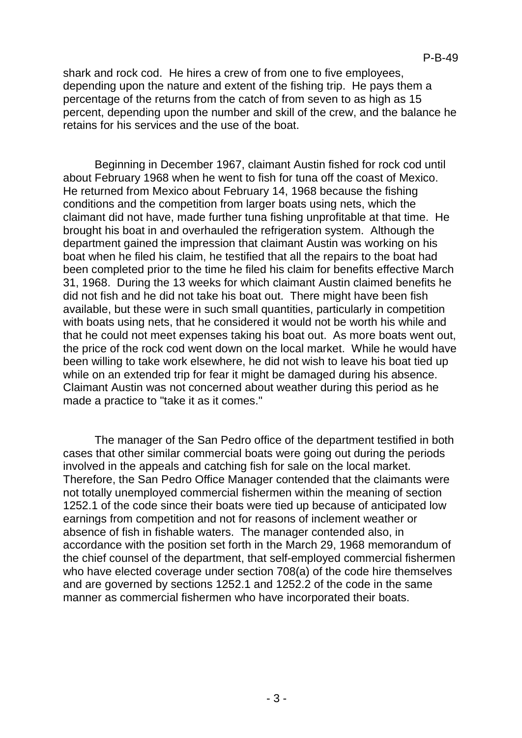shark and rock cod. He hires a crew of from one to five employees, depending upon the nature and extent of the fishing trip. He pays them a percentage of the returns from the catch of from seven to as high as 15 percent, depending upon the number and skill of the crew, and the balance he retains for his services and the use of the boat.

Beginning in December 1967, claimant Austin fished for rock cod until about February 1968 when he went to fish for tuna off the coast of Mexico. He returned from Mexico about February 14, 1968 because the fishing conditions and the competition from larger boats using nets, which the claimant did not have, made further tuna fishing unprofitable at that time. He brought his boat in and overhauled the refrigeration system. Although the department gained the impression that claimant Austin was working on his boat when he filed his claim, he testified that all the repairs to the boat had been completed prior to the time he filed his claim for benefits effective March 31, 1968. During the 13 weeks for which claimant Austin claimed benefits he did not fish and he did not take his boat out. There might have been fish available, but these were in such small quantities, particularly in competition with boats using nets, that he considered it would not be worth his while and that he could not meet expenses taking his boat out. As more boats went out, the price of the rock cod went down on the local market. While he would have been willing to take work elsewhere, he did not wish to leave his boat tied up while on an extended trip for fear it might be damaged during his absence. Claimant Austin was not concerned about weather during this period as he made a practice to "take it as it comes."

The manager of the San Pedro office of the department testified in both cases that other similar commercial boats were going out during the periods involved in the appeals and catching fish for sale on the local market. Therefore, the San Pedro Office Manager contended that the claimants were not totally unemployed commercial fishermen within the meaning of section 1252.1 of the code since their boats were tied up because of anticipated low earnings from competition and not for reasons of inclement weather or absence of fish in fishable waters. The manager contended also, in accordance with the position set forth in the March 29, 1968 memorandum of the chief counsel of the department, that self-employed commercial fishermen who have elected coverage under section 708(a) of the code hire themselves and are governed by sections 1252.1 and 1252.2 of the code in the same manner as commercial fishermen who have incorporated their boats.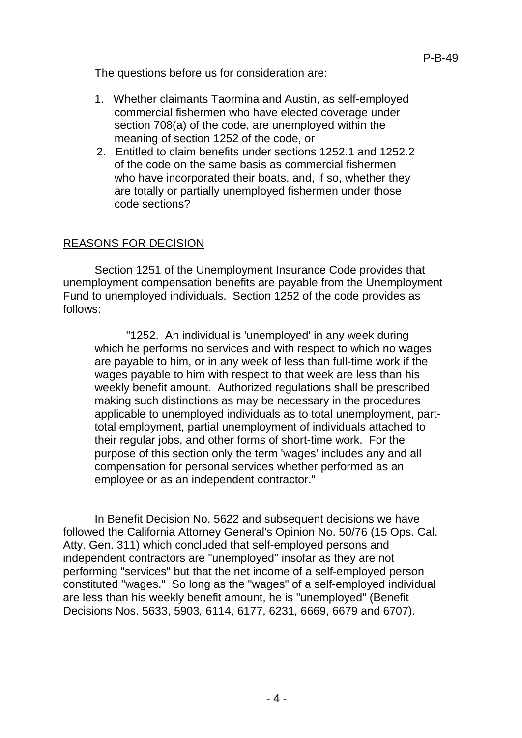The questions before us for consideration are:

- 1. Whether claimants Taormina and Austin, as self-employed commercial fishermen who have elected coverage under section 708(a) of the code, are unemployed within the meaning of section 1252 of the code, or
- 2. Entitled to claim benefits under sections 1252.1 and 1252.2 of the code on the same basis as commercial fishermen who have incorporated their boats, and, if so, whether they are totally or partially unemployed fishermen under those code sections?

### REASONS FOR DECISION

Section 1251 of the Unemployment Insurance Code provides that unemployment compensation benefits are payable from the Unemployment Fund to unemployed individuals. Section 1252 of the code provides as follows:

"1252. An individual is 'unemployed' in any week during which he performs no services and with respect to which no wages are payable to him, or in any week of less than full-time work if the wages payable to him with respect to that week are less than his weekly benefit amount. Authorized regulations shall be prescribed making such distinctions as may be necessary in the procedures applicable to unemployed individuals as to total unemployment, parttotal employment, partial unemployment of individuals attached to their regular jobs, and other forms of short-time work. For the purpose of this section only the term 'wages' includes any and all compensation for personal services whether performed as an employee or as an independent contractor."

In Benefit Decision No. 5622 and subsequent decisions we have followed the California Attorney General's Opinion No. 50/76 (15 Ops. Cal. Atty. Gen. 311) which concluded that self-employed persons and independent contractors are "unemployed" insofar as they are not performing "services" but that the net income of a self-employed person constituted "wages." So long as the "wages" of a self-employed individual are less than his weekly benefit amount, he is "unemployed" (Benefit Decisions Nos. 5633, 5903*,* 6114, 6177, 6231, 6669, 6679 and 6707).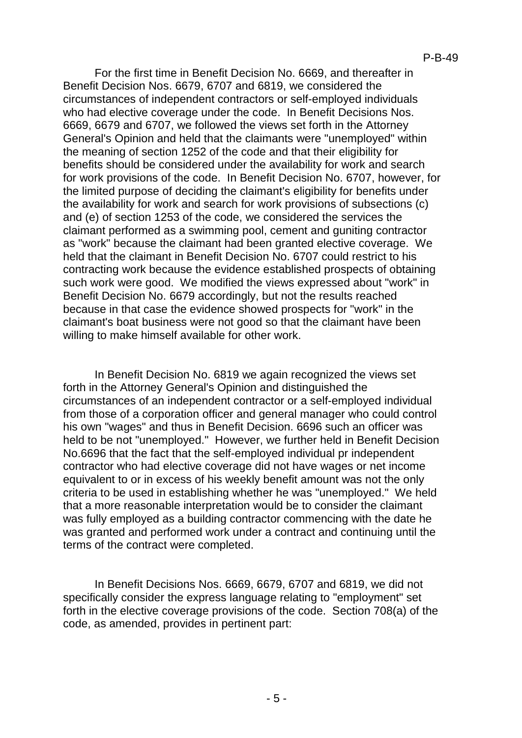For the first time in Benefit Decision No. 6669, and thereafter in Benefit Decision Nos. 6679, 6707 and 6819, we considered the circumstances of independent contractors or self-employed individuals who had elective coverage under the code. In Benefit Decisions Nos. 6669, 6679 and 6707, we followed the views set forth in the Attorney General's Opinion and held that the claimants were "unemployed" within the meaning of section 1252 of the code and that their eligibility for benefits should be considered under the availability for work and search for work provisions of the code. In Benefit Decision No. 6707, however, for the limited purpose of deciding the claimant's eligibility for benefits under the availability for work and search for work provisions of subsections (c) and (e) of section 1253 of the code, we considered the services the claimant performed as a swimming pool, cement and guniting contractor as "work" because the claimant had been granted elective coverage. We held that the claimant in Benefit Decision No. 6707 could restrict to his contracting work because the evidence established prospects of obtaining such work were good. We modified the views expressed about "work" in Benefit Decision No. 6679 accordingly, but not the results reached because in that case the evidence showed prospects for "work" in the claimant's boat business were not good so that the claimant have been willing to make himself available for other work.

In Benefit Decision No. 6819 we again recognized the views set forth in the Attorney General's Opinion and distinguished the circumstances of an independent contractor or a self-employed individual from those of a corporation officer and general manager who could control his own "wages" and thus in Benefit Decision. 6696 such an officer was held to be not "unemployed." However, we further held in Benefit Decision No.6696 that the fact that the self-employed individual pr independent contractor who had elective coverage did not have wages or net income equivalent to or in excess of his weekly benefit amount was not the only criteria to be used in establishing whether he was "unemployed." We held that a more reasonable interpretation would be to consider the claimant was fully employed as a building contractor commencing with the date he was granted and performed work under a contract and continuing until the terms of the contract were completed.

In Benefit Decisions Nos. 6669, 6679, 6707 and 6819, we did not specifically consider the express language relating to "employment" set forth in the elective coverage provisions of the code. Section 708(a) of the code, as amended, provides in pertinent part: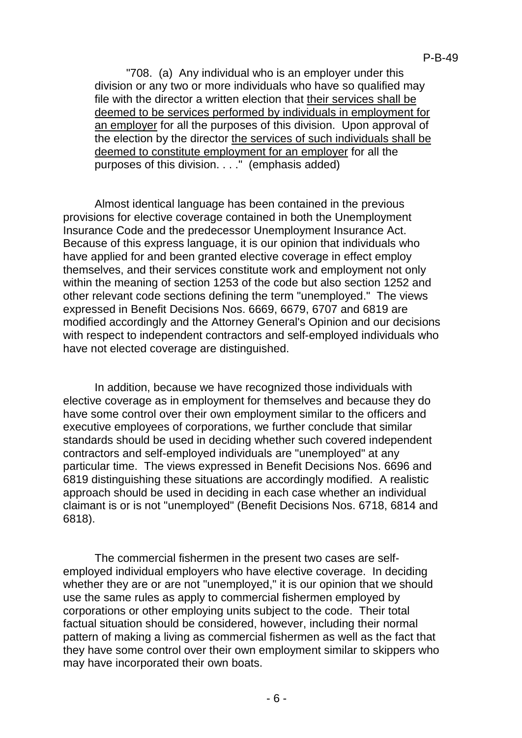"708. (a) Any individual who is an employer under this division or any two or more individuals who have so qualified may file with the director a written election that their services shall be deemed to be services performed by individuals in employment for an employer for all the purposes of this division. Upon approval of the election by the director the services of such individuals shall be deemed to constitute employment for an employer for all the purposes of this division. . . ." (emphasis added)

Almost identical language has been contained in the previous provisions for elective coverage contained in both the Unemployment Insurance Code and the predecessor Unemployment Insurance Act. Because of this express language, it is our opinion that individuals who have applied for and been granted elective coverage in effect employ themselves, and their services constitute work and employment not only within the meaning of section 1253 of the code but also section 1252 and other relevant code sections defining the term "unemployed." The views expressed in Benefit Decisions Nos. 6669, 6679, 6707 and 6819 are modified accordingly and the Attorney General's Opinion and our decisions with respect to independent contractors and self-employed individuals who have not elected coverage are distinguished.

In addition, because we have recognized those individuals with elective coverage as in employment for themselves and because they do have some control over their own employment similar to the officers and executive employees of corporations, we further conclude that similar standards should be used in deciding whether such covered independent contractors and self-employed individuals are "unemployed" at any particular time. The views expressed in Benefit Decisions Nos. 6696 and 6819 distinguishing these situations are accordingly modified. A realistic approach should be used in deciding in each case whether an individual claimant is or is not "unemployed" (Benefit Decisions Nos. 6718, 6814 and 6818).

The commercial fishermen in the present two cases are selfemployed individual employers who have elective coverage. In deciding whether they are or are not "unemployed," it is our opinion that we should use the same rules as apply to commercial fishermen employed by corporations or other employing units subject to the code. Their total factual situation should be considered, however, including their normal pattern of making a living as commercial fishermen as well as the fact that they have some control over their own employment similar to skippers who may have incorporated their own boats.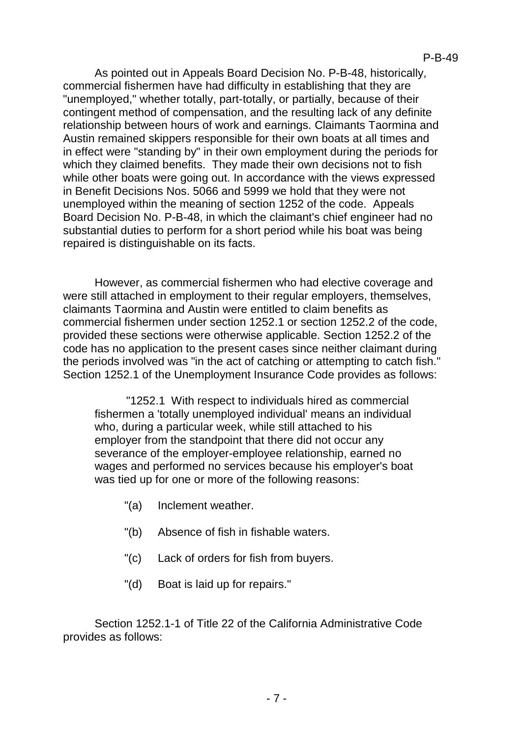As pointed out in Appeals Board Decision No. P-B-48, historically, commercial fishermen have had difficulty in establishing that they are "unemployed," whether totally, part-totally, or partially, because of their contingent method of compensation, and the resulting lack of any definite relationship between hours of work and earnings. Claimants Taormina and Austin remained skippers responsible for their own boats at all times and in effect were "standing by" in their own employment during the periods for which they claimed benefits. They made their own decisions not to fish while other boats were going out. In accordance with the views expressed in Benefit Decisions Nos. 5066 and 5999 we hold that they were not unemployed within the meaning of section 1252 of the code. Appeals Board Decision No. P-B-48, in which the claimant's chief engineer had no substantial duties to perform for a short period while his boat was being repaired is distinguishable on its facts.

However, as commercial fishermen who had elective coverage and were still attached in employment to their regular employers, themselves, claimants Taormina and Austin were entitled to claim benefits as commercial fishermen under section 1252.1 or section 1252.2 of the code, provided these sections were otherwise applicable. Section 1252.2 of the code has no application to the present cases since neither claimant during the periods involved was "in the act of catching or attempting to catch fish." Section 1252.1 of the Unemployment Insurance Code provides as follows:

"1252.1 With respect to individuals hired as commercial fishermen a 'totally unemployed individual' means an individual who, during a particular week, while still attached to his employer from the standpoint that there did not occur any severance of the employer-employee relationship, earned no wages and performed no services because his employer's boat was tied up for one or more of the following reasons:

- "(a) Inclement weather.
- "(b) Absence of fish in fishable waters.
- "(c) Lack of orders for fish from buyers.
- "(d) Boat is laid up for repairs."

Section 1252.1-1 of Title 22 of the California Administrative Code provides as follows: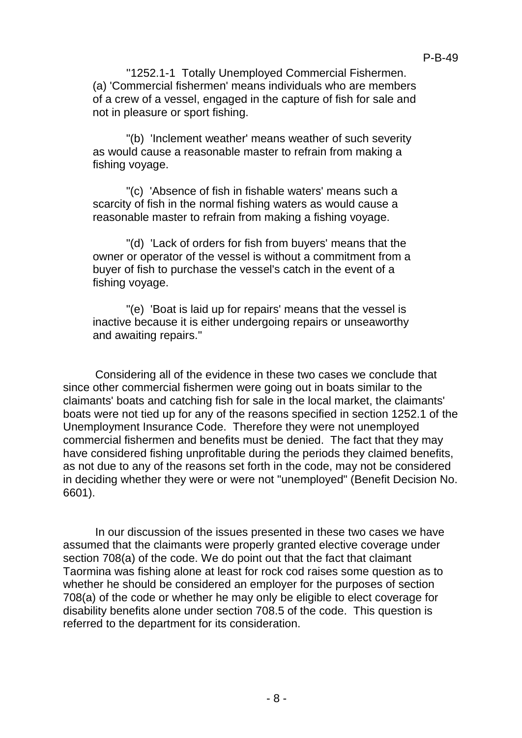''1252.1-1 Totally Unemployed Commercial Fishermen. (a) 'Commercial fishermen' means individuals who are members of a crew of a vessel, engaged in the capture of fish for sale and not in pleasure or sport fishing.

"(b) 'Inclement weather' means weather of such severity as would cause a reasonable master to refrain from making a fishing voyage.

"(c) 'Absence of fish in fishable waters' means such a scarcity of fish in the normal fishing waters as would cause a reasonable master to refrain from making a fishing voyage.

"(d) 'Lack of orders for fish from buyers' means that the owner or operator of the vessel is without a commitment from a buyer of fish to purchase the vessel's catch in the event of a fishing voyage.

"(e) 'Boat is laid up for repairs' means that the vessel is inactive because it is either undergoing repairs or unseaworthy and awaiting repairs."

Considering all of the evidence in these two cases we conclude that since other commercial fishermen were going out in boats similar to the claimants' boats and catching fish for sale in the local market, the claimants' boats were not tied up for any of the reasons specified in section 1252.1 of the Unemployment Insurance Code. Therefore they were not unemployed commercial fishermen and benefits must be denied. The fact that they may have considered fishing unprofitable during the periods they claimed benefits, as not due to any of the reasons set forth in the code, may not be considered in deciding whether they were or were not "unemployed" (Benefit Decision No. 6601).

In our discussion of the issues presented in these two cases we have assumed that the claimants were properly granted elective coverage under section 708(a) of the code. We do point out that the fact that claimant Taormina was fishing alone at least for rock cod raises some question as to whether he should be considered an employer for the purposes of section 708(a) of the code or whether he may only be eligible to elect coverage for disability benefits alone under section 708.5 of the code. This question is referred to the department for its consideration.